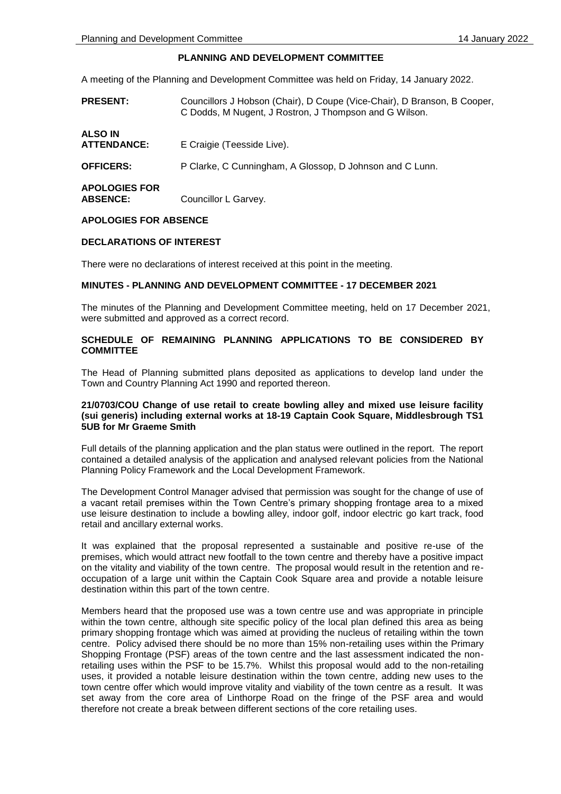# **PLANNING AND DEVELOPMENT COMMITTEE**

A meeting of the Planning and Development Committee was held on Friday, 14 January 2022.

| <b>PRESENT:</b>                         | Councillors J Hobson (Chair), D Coupe (Vice-Chair), D Branson, B Cooper,<br>C Dodds, M Nugent, J Rostron, J Thompson and G Wilson. |
|-----------------------------------------|------------------------------------------------------------------------------------------------------------------------------------|
| <b>ALSO IN</b><br><b>ATTENDANCE:</b>    | E Craigie (Teesside Live).                                                                                                         |
| <b>OFFICERS:</b>                        | P Clarke, C Cunningham, A Glossop, D Johnson and C Lunn.                                                                           |
| <b>APOLOGIES FOR</b><br><b>ABSENCE:</b> | Councillor L Garvey.                                                                                                               |

### **APOLOGIES FOR ABSENCE**

### **DECLARATIONS OF INTEREST**

There were no declarations of interest received at this point in the meeting.

#### **MINUTES - PLANNING AND DEVELOPMENT COMMITTEE - 17 DECEMBER 2021**

The minutes of the Planning and Development Committee meeting, held on 17 December 2021, were submitted and approved as a correct record.

### **SCHEDULE OF REMAINING PLANNING APPLICATIONS TO BE CONSIDERED BY COMMITTEE**

The Head of Planning submitted plans deposited as applications to develop land under the Town and Country Planning Act 1990 and reported thereon.

### **21/0703/COU Change of use retail to create bowling alley and mixed use leisure facility (sui generis) including external works at 18-19 Captain Cook Square, Middlesbrough TS1 5UB for Mr Graeme Smith**

Full details of the planning application and the plan status were outlined in the report. The report contained a detailed analysis of the application and analysed relevant policies from the National Planning Policy Framework and the Local Development Framework.

The Development Control Manager advised that permission was sought for the change of use of a vacant retail premises within the Town Centre's primary shopping frontage area to a mixed use leisure destination to include a bowling alley, indoor golf, indoor electric go kart track, food retail and ancillary external works.

It was explained that the proposal represented a sustainable and positive re-use of the premises, which would attract new footfall to the town centre and thereby have a positive impact on the vitality and viability of the town centre. The proposal would result in the retention and reoccupation of a large unit within the Captain Cook Square area and provide a notable leisure destination within this part of the town centre.

Members heard that the proposed use was a town centre use and was appropriate in principle within the town centre, although site specific policy of the local plan defined this area as being primary shopping frontage which was aimed at providing the nucleus of retailing within the town centre. Policy advised there should be no more than 15% non-retailing uses within the Primary Shopping Frontage (PSF) areas of the town centre and the last assessment indicated the nonretailing uses within the PSF to be 15.7%. Whilst this proposal would add to the non-retailing uses, it provided a notable leisure destination within the town centre, adding new uses to the town centre offer which would improve vitality and viability of the town centre as a result. It was set away from the core area of Linthorpe Road on the fringe of the PSF area and would therefore not create a break between different sections of the core retailing uses.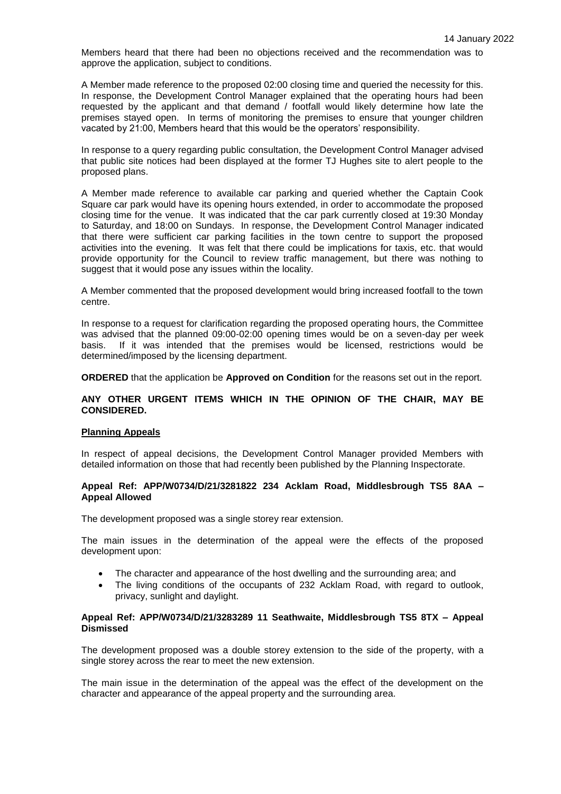Members heard that there had been no objections received and the recommendation was to approve the application, subject to conditions.

A Member made reference to the proposed 02:00 closing time and queried the necessity for this. In response, the Development Control Manager explained that the operating hours had been requested by the applicant and that demand / footfall would likely determine how late the premises stayed open. In terms of monitoring the premises to ensure that younger children vacated by 21:00, Members heard that this would be the operators' responsibility.

In response to a query regarding public consultation, the Development Control Manager advised that public site notices had been displayed at the former TJ Hughes site to alert people to the proposed plans.

A Member made reference to available car parking and queried whether the Captain Cook Square car park would have its opening hours extended, in order to accommodate the proposed closing time for the venue. It was indicated that the car park currently closed at 19:30 Monday to Saturday, and 18:00 on Sundays. In response, the Development Control Manager indicated that there were sufficient car parking facilities in the town centre to support the proposed activities into the evening. It was felt that there could be implications for taxis, etc. that would provide opportunity for the Council to review traffic management, but there was nothing to suggest that it would pose any issues within the locality.

A Member commented that the proposed development would bring increased footfall to the town centre.

In response to a request for clarification regarding the proposed operating hours, the Committee was advised that the planned 09:00-02:00 opening times would be on a seven-day per week basis. If it was intended that the premises would be licensed, restrictions would be determined/imposed by the licensing department.

**ORDERED** that the application be **Approved on Condition** for the reasons set out in the report.

### **ANY OTHER URGENT ITEMS WHICH IN THE OPINION OF THE CHAIR, MAY BE CONSIDERED.**

### **Planning Appeals**

In respect of appeal decisions, the Development Control Manager provided Members with detailed information on those that had recently been published by the Planning Inspectorate.

### **Appeal Ref: APP/W0734/D/21/3281822 234 Acklam Road, Middlesbrough TS5 8AA – Appeal Allowed**

The development proposed was a single storey rear extension.

The main issues in the determination of the appeal were the effects of the proposed development upon:

- The character and appearance of the host dwelling and the surrounding area; and
- The living conditions of the occupants of 232 Acklam Road, with regard to outlook, privacy, sunlight and daylight.

### **Appeal Ref: APP/W0734/D/21/3283289 11 Seathwaite, Middlesbrough TS5 8TX – Appeal Dismissed**

The development proposed was a double storey extension to the side of the property, with a single storey across the rear to meet the new extension.

The main issue in the determination of the appeal was the effect of the development on the character and appearance of the appeal property and the surrounding area.